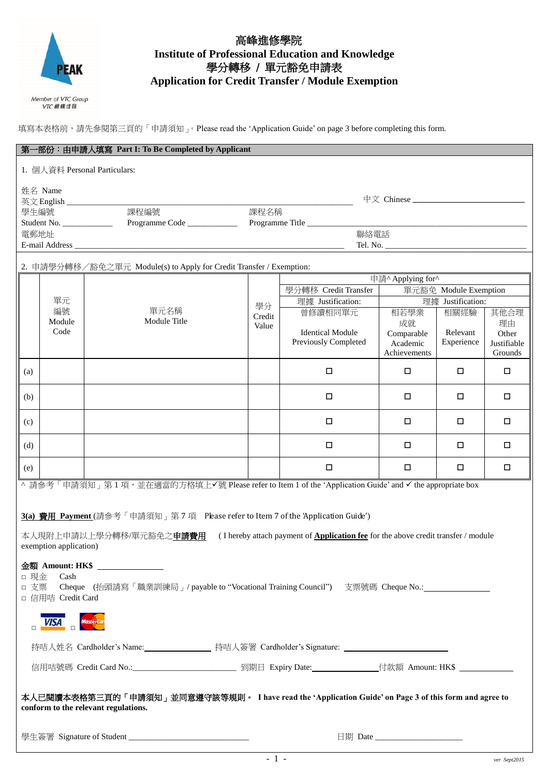

## 高峰進修學院 **Institute of Professional Education and Knowledge** 學分轉移 / 單元豁免申請表 **Application for Credit Transfer / Module Exemption**

VTC 機構成員

填寫本表格前,請先參閱第三頁的「申請須知」。Please read the 'Application Guide' on page 3 before completing this form.

|                                                                                                                                                        |                                                                                                      | 第一部份:由申請人填寫 Part I: To Be Completed by Applicant                                                    |        |                                               |                   |                   |             |  |
|--------------------------------------------------------------------------------------------------------------------------------------------------------|------------------------------------------------------------------------------------------------------|-----------------------------------------------------------------------------------------------------|--------|-----------------------------------------------|-------------------|-------------------|-------------|--|
| 1. 個人資料 Personal Particulars:                                                                                                                          |                                                                                                      |                                                                                                     |        |                                               |                   |                   |             |  |
| 姓名 Name                                                                                                                                                |                                                                                                      |                                                                                                     |        |                                               |                   |                   |             |  |
| 學生編號                                                                                                                                                   |                                                                                                      | 課程編號                                                                                                | 課程名稱   |                                               |                   |                   |             |  |
|                                                                                                                                                        |                                                                                                      |                                                                                                     |        |                                               |                   |                   |             |  |
|                                                                                                                                                        | 電郵地址<br>聯絡電話                                                                                         |                                                                                                     |        |                                               |                   |                   |             |  |
|                                                                                                                                                        |                                                                                                      |                                                                                                     |        |                                               |                   |                   |             |  |
|                                                                                                                                                        |                                                                                                      | 2. 申請學分轉移/豁免之單元 Module(s) to Apply for Credit Transfer / Exemption:                                 |        |                                               |                   |                   |             |  |
|                                                                                                                                                        |                                                                                                      |                                                                                                     |        |                                               | 申請^ Applying for^ |                   |             |  |
|                                                                                                                                                        |                                                                                                      |                                                                                                     |        | 學分轉移 Credit Transfer<br>單元豁免 Module Exemption |                   |                   |             |  |
|                                                                                                                                                        | 單元<br>編號                                                                                             | 單元名稱                                                                                                | 學分     | 理據 Justification:                             |                   | 理據 Justification: |             |  |
|                                                                                                                                                        | Module                                                                                               | Module Title                                                                                        | Credit | 曾修讀相同單元                                       | 相若學業<br>成就        | 相關經驗              | 其他合理<br>理由  |  |
|                                                                                                                                                        | Code                                                                                                 |                                                                                                     | Value  | <b>Identical Module</b>                       | Comparable        | Relevant          | Other       |  |
|                                                                                                                                                        |                                                                                                      |                                                                                                     |        | Previously Completed                          | Academic          | Experience        | Justifiable |  |
|                                                                                                                                                        |                                                                                                      |                                                                                                     |        |                                               | Achievements      |                   | Grounds     |  |
| (a)                                                                                                                                                    |                                                                                                      |                                                                                                     |        | $\Box$                                        | □                 | □                 | $\Box$      |  |
| (b)                                                                                                                                                    |                                                                                                      |                                                                                                     |        | $\Box$                                        | □                 | □                 | □           |  |
| (c)                                                                                                                                                    |                                                                                                      |                                                                                                     |        | $\Box$                                        | □                 | □                 | □           |  |
| (d)                                                                                                                                                    |                                                                                                      |                                                                                                     |        | $\Box$                                        | □                 | □                 | □           |  |
| (e)                                                                                                                                                    |                                                                                                      |                                                                                                     |        | $\Box$                                        | □                 | □                 | $\Box$      |  |
|                                                                                                                                                        | 請參考「申請須知」第1項,並在適當的方格填上√號 Please refer to Item 1 of the 'Application Guide' and √ the appropriate box |                                                                                                     |        |                                               |                   |                   |             |  |
| 3(a) 費用 Payment (請參考「申請須知」第7項 Please refer to Item 7 of the 'Application Guide')                                                                       |                                                                                                      |                                                                                                     |        |                                               |                   |                   |             |  |
| 本人現附上申請以上學分轉移/單元豁免之 <b>申請費用</b><br>(I hereby attach payment of <b>Application fee</b> for the above credit transfer / module<br>exemption application) |                                                                                                      |                                                                                                     |        |                                               |                   |                   |             |  |
|                                                                                                                                                        |                                                                                                      |                                                                                                     |        |                                               |                   |                   |             |  |
| □ 現金                                                                                                                                                   | Cash                                                                                                 | 金額 Amount: HK\$ _______________                                                                     |        |                                               |                   |                   |             |  |
| □ 支票                                                                                                                                                   |                                                                                                      | Cheque (抬頭請寫「職業訓練局」/ payable to "Vocational Training Council") 支票號碼 Cheque No.:____________________ |        |                                               |                   |                   |             |  |
| □ 信用咭 Credit Card                                                                                                                                      |                                                                                                      |                                                                                                     |        |                                               |                   |                   |             |  |
| <b>VISA</b><br><b>MasterCan</b>                                                                                                                        |                                                                                                      |                                                                                                     |        |                                               |                   |                   |             |  |
| 持咭人姓名 Cardholder's Name:_________________ 持咭人簽署 Cardholder's Signature: ___________________________                                                    |                                                                                                      |                                                                                                     |        |                                               |                   |                   |             |  |
|                                                                                                                                                        |                                                                                                      |                                                                                                     |        |                                               |                   |                   |             |  |
|                                                                                                                                                        |                                                                                                      |                                                                                                     |        |                                               |                   |                   |             |  |
| 本人已閱讀本表格第三頁的「申請須知」並同意遵守該等規則。 I have read the 'Application Guide' on Page 3 of this form and agree to<br>conform to the relevant regulations.           |                                                                                                      |                                                                                                     |        |                                               |                   |                   |             |  |
| 日期 Date $\qquad \qquad$                                                                                                                                |                                                                                                      |                                                                                                     |        |                                               |                   |                   |             |  |
|                                                                                                                                                        |                                                                                                      |                                                                                                     |        |                                               |                   |                   |             |  |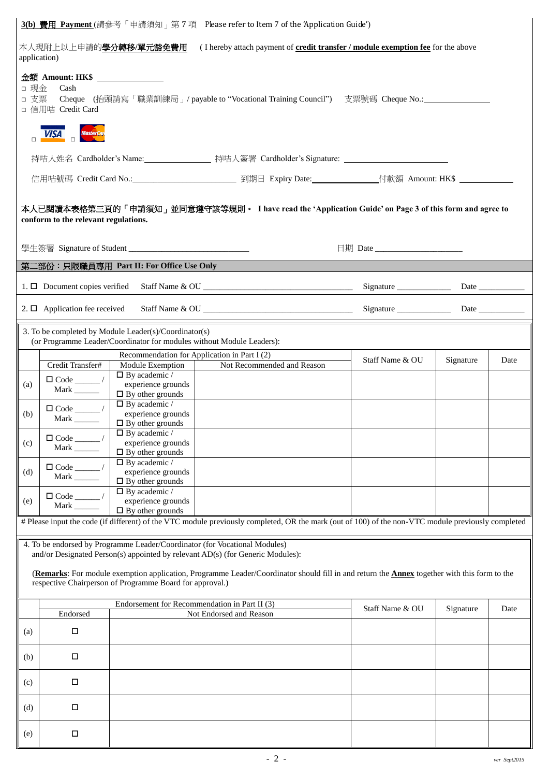|                                                                                                                                                                                                                | 3(b) 費用 Payment (請參考「申請須知」第7項 Please refer to Item 7 of the 'Application Guide')                                                                                                    |                                                                                                                                |                                                                                                                                                              |                                  |           |      |
|----------------------------------------------------------------------------------------------------------------------------------------------------------------------------------------------------------------|-------------------------------------------------------------------------------------------------------------------------------------------------------------------------------------|--------------------------------------------------------------------------------------------------------------------------------|--------------------------------------------------------------------------------------------------------------------------------------------------------------|----------------------------------|-----------|------|
| 本人現附上以上申請的 <mark>學分轉移/單元豁免費用</mark><br>(I hereby attach payment of credit transfer / module exemption fee for the above<br>application)                                                                        |                                                                                                                                                                                     |                                                                                                                                |                                                                                                                                                              |                                  |           |      |
|                                                                                                                                                                                                                | 金額 Amount: HK\$ _______________<br>□ 現金<br>Cash<br>□ 支票<br>Cheque (抬頭請寫「職業訓練局」/ payable to "Vocational Training Council") 支票號碼 Cheque No.:____________________<br>□ 信用咭 Credit Card |                                                                                                                                |                                                                                                                                                              |                                  |           |      |
|                                                                                                                                                                                                                |                                                                                                                                                                                     |                                                                                                                                |                                                                                                                                                              |                                  |           |      |
|                                                                                                                                                                                                                |                                                                                                                                                                                     |                                                                                                                                | 持咭人姓名 Cardholder's Name: _______________ 持咭人簽署 Cardholder's Signature: ____________________________                                                          |                                  |           |      |
|                                                                                                                                                                                                                |                                                                                                                                                                                     |                                                                                                                                |                                                                                                                                                              |                                  |           |      |
|                                                                                                                                                                                                                | 本人已閱讀本表格第三頁的「申請須知」並同意遵守該等規則。 I have read the 'Application Guide' on Page 3 of this form and agree to<br>conform to the relevant regulations.                                        |                                                                                                                                |                                                                                                                                                              |                                  |           |      |
|                                                                                                                                                                                                                |                                                                                                                                                                                     |                                                                                                                                |                                                                                                                                                              | 日期 Date ________________________ |           |      |
|                                                                                                                                                                                                                |                                                                                                                                                                                     |                                                                                                                                | 第二部份:只限職員專用 Part II: For Office Use Only <b>Example 2018</b>                                                                                                 |                                  |           |      |
|                                                                                                                                                                                                                |                                                                                                                                                                                     |                                                                                                                                |                                                                                                                                                              |                                  |           |      |
|                                                                                                                                                                                                                | 2. $\Box$ Application fee received                                                                                                                                                  |                                                                                                                                |                                                                                                                                                              |                                  |           |      |
|                                                                                                                                                                                                                |                                                                                                                                                                                     | 3. To be completed by Module Leader(s)/Coordinator(s)<br>(or Programme Leader/Coordinator for modules without Module Leaders): |                                                                                                                                                              |                                  |           |      |
|                                                                                                                                                                                                                | Credit Transfer#                                                                                                                                                                    | Recommendation for Application in Part I (2)<br>Module Exemption                                                               | Not Recommended and Reason                                                                                                                                   | Staff Name & OU                  | Signature | Date |
| (a)                                                                                                                                                                                                            | $\Box$ Code _____/                                                                                                                                                                  | $\Box$ By academic /<br>experience grounds                                                                                     |                                                                                                                                                              |                                  |           |      |
|                                                                                                                                                                                                                | Mark $\_\_\_\_\_\_\$                                                                                                                                                                | $\Box$ By other grounds<br>$\Box$ By academic /                                                                                |                                                                                                                                                              |                                  |           |      |
| (b)                                                                                                                                                                                                            | Mark $\_\_\_\_\_\_\$                                                                                                                                                                | experience grounds<br>$\Box$ By other grounds                                                                                  |                                                                                                                                                              |                                  |           |      |
| $\vert$ (c)                                                                                                                                                                                                    |                                                                                                                                                                                     | $\square$ By academic /<br>experience grounds                                                                                  |                                                                                                                                                              |                                  |           |      |
|                                                                                                                                                                                                                |                                                                                                                                                                                     | $\Box$ By other grounds                                                                                                        |                                                                                                                                                              |                                  |           |      |
| (d)                                                                                                                                                                                                            | Mark $\qquad$                                                                                                                                                                       | $\square$ By academic /<br>experience grounds                                                                                  |                                                                                                                                                              |                                  |           |      |
|                                                                                                                                                                                                                |                                                                                                                                                                                     | $\Box$ By other grounds<br>$\Box$ By academic /                                                                                |                                                                                                                                                              |                                  |           |      |
| (e)                                                                                                                                                                                                            | Mark $\_\_\_\_\_\_\$                                                                                                                                                                | experience grounds<br>$\Box$ By other grounds                                                                                  |                                                                                                                                                              |                                  |           |      |
|                                                                                                                                                                                                                |                                                                                                                                                                                     |                                                                                                                                | # Please input the code (if different) of the VTC module previously completed, OR the mark (out of 100) of the non-VTC module previously completed           |                                  |           |      |
|                                                                                                                                                                                                                |                                                                                                                                                                                     |                                                                                                                                | 4. To be endorsed by Programme Leader/Coordinator (for Vocational Modules)<br>and/or Designated Person(s) appointed by relevant AD(s) (for Generic Modules): |                                  |           |      |
| (Remarks: For module exemption application, Programme Leader/Coordinator should fill in and return the <b>Annex</b> together with this form to the<br>respective Chairperson of Programme Board for approval.) |                                                                                                                                                                                     |                                                                                                                                |                                                                                                                                                              |                                  |           |      |
|                                                                                                                                                                                                                | Endorsed                                                                                                                                                                            | Endorsement for Recommendation in Part II (3)                                                                                  | Not Endorsed and Reason                                                                                                                                      | Staff Name & OU                  | Signature | Date |
| (a)                                                                                                                                                                                                            | $\Box$                                                                                                                                                                              |                                                                                                                                |                                                                                                                                                              |                                  |           |      |
| (b)                                                                                                                                                                                                            | $\Box$                                                                                                                                                                              |                                                                                                                                |                                                                                                                                                              |                                  |           |      |
| (c)                                                                                                                                                                                                            | $\Box$                                                                                                                                                                              |                                                                                                                                |                                                                                                                                                              |                                  |           |      |
| (d)                                                                                                                                                                                                            | $\Box$                                                                                                                                                                              |                                                                                                                                |                                                                                                                                                              |                                  |           |      |
| (e)                                                                                                                                                                                                            | $\Box$                                                                                                                                                                              |                                                                                                                                |                                                                                                                                                              |                                  |           |      |